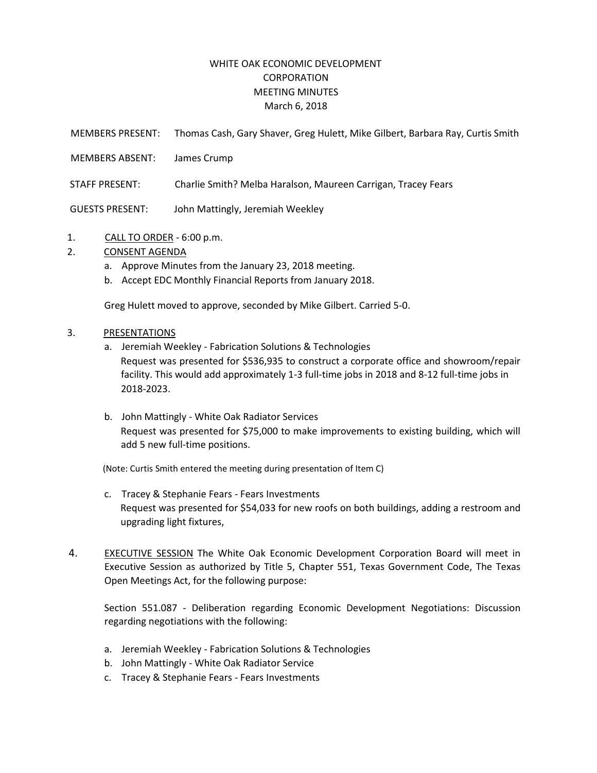## WHITE OAK ECONOMIC DEVELOPMENT **CORPORATION** MEETING MINUTES March 6, 2018

MEMBERS PRESENT: Thomas Cash, Gary Shaver, Greg Hulett, Mike Gilbert, Barbara Ray, Curtis Smith

- MEMBERS ABSENT: James Crump
- STAFF PRESENT: Charlie Smith? Melba Haralson, Maureen Carrigan, Tracey Fears

GUESTS PRESENT: John Mattingly, Jeremiah Weekley

1. CALL TO ORDER - 6:00 p.m.

## 2. CONSENT AGENDA

- a. Approve Minutes from the January 23, 2018 meeting.
- b. Accept EDC Monthly Financial Reports from January 2018.

Greg Hulett moved to approve, seconded by Mike Gilbert. Carried 5-0.

## 3. PRESENTATIONS

- a. Jeremiah Weekley Fabrication Solutions & Technologies Request was presented for \$536,935 to construct a corporate office and showroom/repair facility. This would add approximately 1-3 full-time jobs in 2018 and 8-12 full-time jobs in 2018-2023.
- b. John Mattingly White Oak Radiator Services Request was presented for \$75,000 to make improvements to existing building, which will add 5 new full-time positions.

(Note: Curtis Smith entered the meeting during presentation of Item C)

- c. Tracey & Stephanie Fears Fears Investments Request was presented for \$54,033 for new roofs on both buildings, adding a restroom and upgrading light fixtures,
- 4. EXECUTIVE SESSION The White Oak Economic Development Corporation Board will meet in Executive Session as authorized by Title 5, Chapter 551, Texas Government Code, The Texas Open Meetings Act, for the following purpose:

Section 551.087 - Deliberation regarding Economic Development Negotiations: Discussion regarding negotiations with the following:

- a. Jeremiah Weekley Fabrication Solutions & Technologies
- b. John Mattingly White Oak Radiator Service
- c. Tracey & Stephanie Fears Fears Investments